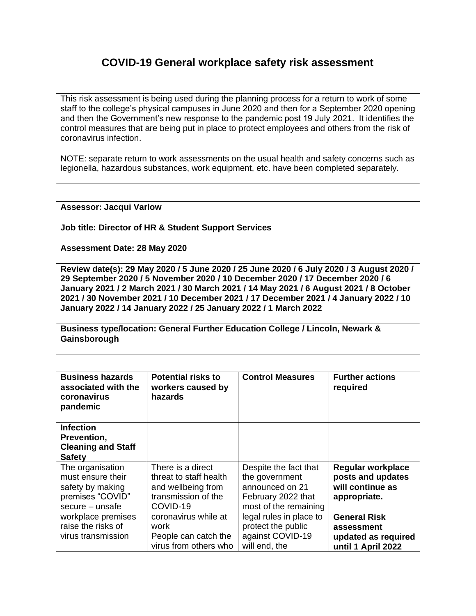## **COVID-19 General workplace safety risk assessment**

This risk assessment is being used during the planning process for a return to work of some staff to the college's physical campuses in June 2020 and then for a September 2020 opening and then the Government's new response to the pandemic post 19 July 2021. It identifies the control measures that are being put in place to protect employees and others from the risk of coronavirus infection.

NOTE: separate return to work assessments on the usual health and safety concerns such as legionella, hazardous substances, work equipment, etc. have been completed separately.

**Assessor: Jacqui Varlow**

**Job title: Director of HR & Student Support Services**

**Assessment Date: 28 May 2020**

**Review date(s): 29 May 2020 / 5 June 2020 / 25 June 2020 / 6 July 2020 / 3 August 2020 / 29 September 2020 / 5 November 2020 / 10 December 2020 / 17 December 2020 / 6 January 2021 / 2 March 2021 / 30 March 2021 / 14 May 2021 / 6 August 2021 / 8 October 2021 / 30 November 2021 / 10 December 2021 / 17 December 2021 / 4 January 2022 / 10 January 2022 / 14 January 2022 / 25 January 2022 / 1 March 2022**

**Business type/location: General Further Education College / Lincoln, Newark & Gainsborough**

| <b>Business hazards</b><br>associated with the<br>coronavirus<br>pandemic                        | <b>Potential risks to</b><br>workers caused by<br>hazards                                            | <b>Control Measures</b>                                                                                   | <b>Further actions</b><br>required                                                |
|--------------------------------------------------------------------------------------------------|------------------------------------------------------------------------------------------------------|-----------------------------------------------------------------------------------------------------------|-----------------------------------------------------------------------------------|
| <b>Infection</b><br>Prevention,<br><b>Cleaning and Staff</b><br><b>Safety</b>                    |                                                                                                      |                                                                                                           |                                                                                   |
| The organisation<br>must ensure their<br>safety by making<br>premises "COVID"<br>secure - unsafe | There is a direct<br>threat to staff health<br>and wellbeing from<br>transmission of the<br>COVID-19 | Despite the fact that<br>the government<br>announced on 21<br>February 2022 that<br>most of the remaining | <b>Regular workplace</b><br>posts and updates<br>will continue as<br>appropriate. |
| workplace premises<br>raise the risks of<br>virus transmission                                   | coronavirus while at<br>work<br>People can catch the<br>virus from others who                        | legal rules in place to<br>protect the public<br>against COVID-19<br>will end, the                        | <b>General Risk</b><br>assessment<br>updated as required<br>until 1 April 2022    |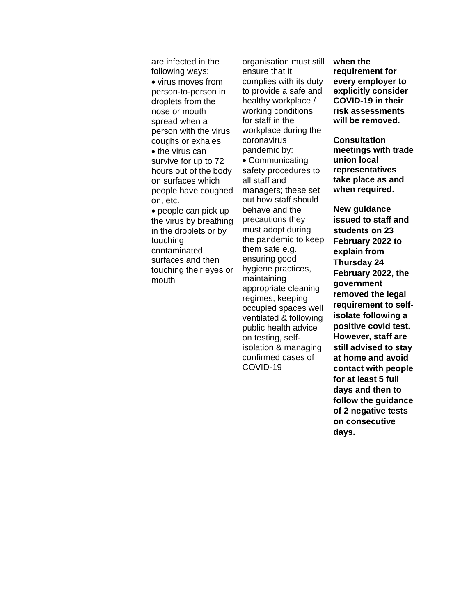| are infected in the<br>following ways:<br>• virus moves from<br>person-to-person in<br>droplets from the<br>nose or mouth<br>spread when a<br>person with the virus<br>coughs or exhales<br>• the virus can<br>survive for up to 72<br>hours out of the body<br>on surfaces which<br>people have coughed<br>on, etc.<br>• people can pick up<br>the virus by breathing<br>in the droplets or by<br>touching<br>contaminated<br>surfaces and then<br>touching their eyes or<br>mouth | organisation must still<br>ensure that it<br>complies with its duty<br>to provide a safe and<br>healthy workplace /<br>working conditions<br>for staff in the<br>workplace during the<br>coronavirus<br>pandemic by:<br>• Communicating<br>safety procedures to<br>all staff and<br>managers; these set<br>out how staff should<br>behave and the<br>precautions they<br>must adopt during<br>the pandemic to keep<br>them safe e.g.<br>ensuring good<br>hygiene practices,<br>maintaining<br>appropriate cleaning<br>regimes, keeping<br>occupied spaces well<br>ventilated & following<br>public health advice<br>on testing, self-<br>isolation & managing<br>confirmed cases of<br>COVID-19 | when the<br>requirement for<br>every employer to<br>explicitly consider<br><b>COVID-19 in their</b><br>risk assessments<br>will be removed.<br><b>Consultation</b><br>meetings with trade<br>union local<br>representatives<br>take place as and<br>when required.<br>New guidance<br>issued to staff and<br>students on 23<br>February 2022 to<br>explain from<br>Thursday 24<br>February 2022, the<br>government<br>removed the legal<br>requirement to self-<br>isolate following a<br>positive covid test.<br>However, staff are<br>still advised to stay<br>at home and avoid<br>contact with people<br>for at least 5 full<br>days and then to<br>follow the guidance<br>of 2 negative tests<br>on consecutive<br>days. |
|-------------------------------------------------------------------------------------------------------------------------------------------------------------------------------------------------------------------------------------------------------------------------------------------------------------------------------------------------------------------------------------------------------------------------------------------------------------------------------------|-------------------------------------------------------------------------------------------------------------------------------------------------------------------------------------------------------------------------------------------------------------------------------------------------------------------------------------------------------------------------------------------------------------------------------------------------------------------------------------------------------------------------------------------------------------------------------------------------------------------------------------------------------------------------------------------------|-------------------------------------------------------------------------------------------------------------------------------------------------------------------------------------------------------------------------------------------------------------------------------------------------------------------------------------------------------------------------------------------------------------------------------------------------------------------------------------------------------------------------------------------------------------------------------------------------------------------------------------------------------------------------------------------------------------------------------|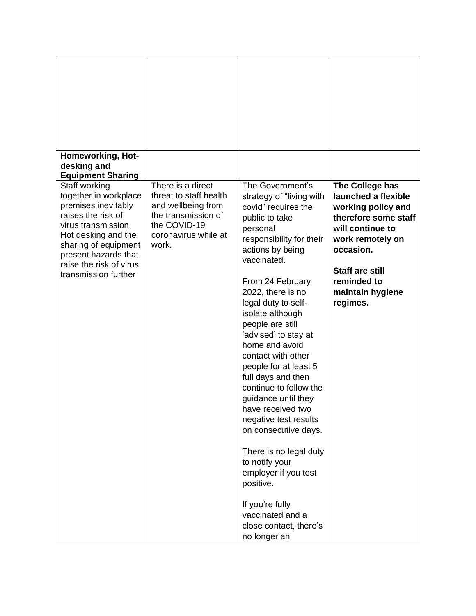| Homeworking, Hot-<br>desking and<br><b>Equipment Sharing</b>                                                                                                                                                                         |                                                                                                                                           |                                                                                                                                                                                                                                                                                                                                                                                                                                                                                                                                                                                                                                                                                  |                                                                                                                                                                                                                    |
|--------------------------------------------------------------------------------------------------------------------------------------------------------------------------------------------------------------------------------------|-------------------------------------------------------------------------------------------------------------------------------------------|----------------------------------------------------------------------------------------------------------------------------------------------------------------------------------------------------------------------------------------------------------------------------------------------------------------------------------------------------------------------------------------------------------------------------------------------------------------------------------------------------------------------------------------------------------------------------------------------------------------------------------------------------------------------------------|--------------------------------------------------------------------------------------------------------------------------------------------------------------------------------------------------------------------|
| Staff working<br>together in workplace<br>premises inevitably<br>raises the risk of<br>virus transmission.<br>Hot desking and the<br>sharing of equipment<br>present hazards that<br>raise the risk of virus<br>transmission further | There is a direct<br>threat to staff health<br>and wellbeing from<br>the transmission of<br>the COVID-19<br>coronavirus while at<br>work. | The Government's<br>strategy of "living with<br>covid" requires the<br>public to take<br>personal<br>responsibility for their<br>actions by being<br>vaccinated.<br>From 24 February<br>2022, there is no<br>legal duty to self-<br>isolate although<br>people are still<br>'advised' to stay at<br>home and avoid<br>contact with other<br>people for at least 5<br>full days and then<br>continue to follow the<br>guidance until they<br>have received two<br>negative test results<br>on consecutive days.<br>There is no legal duty<br>to notify your<br>employer if you test<br>positive.<br>If you're fully<br>vaccinated and a<br>close contact, there's<br>no longer an | The College has<br>launched a flexible<br>working policy and<br>therefore some staff<br>will continue to<br>work remotely on<br>occasion.<br><b>Staff are still</b><br>reminded to<br>maintain hygiene<br>regimes. |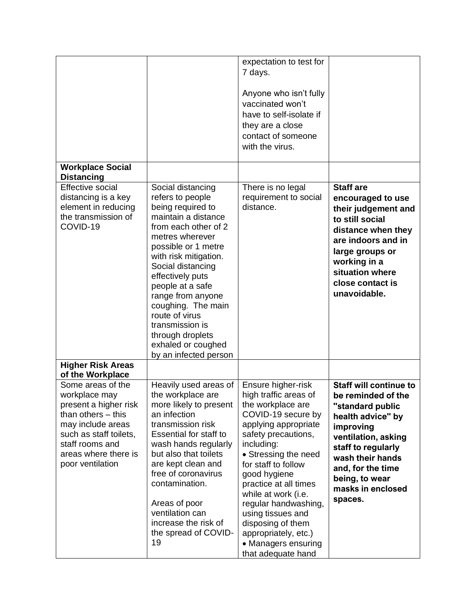|                                                                                                                                                                                                   |                                                                                                                                                                                                                                                                                                                                                                                              | expectation to test for<br>7 days.<br>Anyone who isn't fully<br>vaccinated won't<br>have to self-isolate if<br>they are a close<br>contact of someone<br>with the virus.                                                                                                                                                                                                                                  |                                                                                                                                                                                                                                                   |
|---------------------------------------------------------------------------------------------------------------------------------------------------------------------------------------------------|----------------------------------------------------------------------------------------------------------------------------------------------------------------------------------------------------------------------------------------------------------------------------------------------------------------------------------------------------------------------------------------------|-----------------------------------------------------------------------------------------------------------------------------------------------------------------------------------------------------------------------------------------------------------------------------------------------------------------------------------------------------------------------------------------------------------|---------------------------------------------------------------------------------------------------------------------------------------------------------------------------------------------------------------------------------------------------|
| <b>Workplace Social</b><br><b>Distancing</b>                                                                                                                                                      |                                                                                                                                                                                                                                                                                                                                                                                              |                                                                                                                                                                                                                                                                                                                                                                                                           |                                                                                                                                                                                                                                                   |
| Effective social<br>distancing is a key<br>element in reducing<br>the transmission of<br>COVID-19                                                                                                 | Social distancing<br>refers to people<br>being required to<br>maintain a distance<br>from each other of 2<br>metres wherever<br>possible or 1 metre<br>with risk mitigation.<br>Social distancing<br>effectively puts<br>people at a safe<br>range from anyone<br>coughing. The main<br>route of virus<br>transmission is<br>through droplets<br>exhaled or coughed<br>by an infected person | There is no legal<br>requirement to social<br>distance.                                                                                                                                                                                                                                                                                                                                                   | <b>Staff are</b><br>encouraged to use<br>their judgement and<br>to still social<br>distance when they<br>are indoors and in<br>large groups or<br>working in a<br>situation where<br>close contact is<br>unavoidable.                             |
| <b>Higher Risk Areas</b><br>of the Workplace                                                                                                                                                      |                                                                                                                                                                                                                                                                                                                                                                                              |                                                                                                                                                                                                                                                                                                                                                                                                           |                                                                                                                                                                                                                                                   |
| Some areas of the<br>workplace may<br>present a higher risk<br>than others $-$ this<br>may include areas<br>such as staff toilets,<br>staff rooms and<br>areas where there is<br>poor ventilation | Heavily used areas of<br>the workplace are<br>more likely to present<br>an infection<br>transmission risk<br>Essential for staff to<br>wash hands regularly<br>but also that toilets<br>are kept clean and<br>free of coronavirus<br>contamination.<br>Areas of poor<br>ventilation can<br>increase the risk of<br>the spread of COVID-<br>19                                                | Ensure higher-risk<br>high traffic areas of<br>the workplace are<br>COVID-19 secure by<br>applying appropriate<br>safety precautions,<br>including:<br>• Stressing the need<br>for staff to follow<br>good hygiene<br>practice at all times<br>while at work (i.e.<br>regular handwashing,<br>using tissues and<br>disposing of them<br>appropriately, etc.)<br>• Managers ensuring<br>that adequate hand | <b>Staff will continue to</b><br>be reminded of the<br>"standard public<br>health advice" by<br>improving<br>ventilation, asking<br>staff to regularly<br>wash their hands<br>and, for the time<br>being, to wear<br>masks in enclosed<br>spaces. |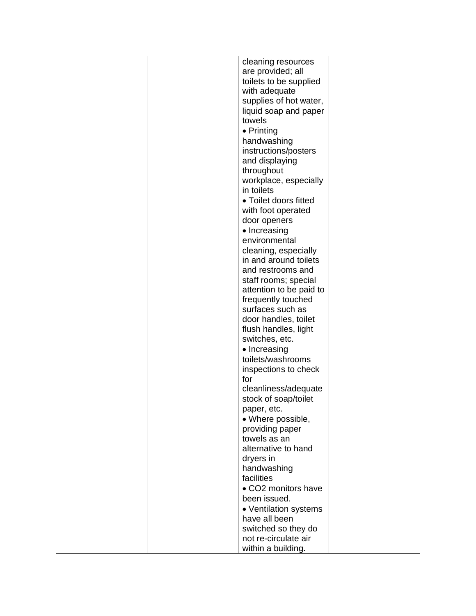|  | cleaning resources      |  |
|--|-------------------------|--|
|  | are provided; all       |  |
|  |                         |  |
|  | toilets to be supplied  |  |
|  | with adequate           |  |
|  | supplies of hot water,  |  |
|  | liquid soap and paper   |  |
|  |                         |  |
|  | towels                  |  |
|  | • Printing              |  |
|  | handwashing             |  |
|  |                         |  |
|  | instructions/posters    |  |
|  | and displaying          |  |
|  | throughout              |  |
|  |                         |  |
|  | workplace, especially   |  |
|  | in toilets              |  |
|  | • Toilet doors fitted   |  |
|  |                         |  |
|  | with foot operated      |  |
|  | door openers            |  |
|  | • Increasing            |  |
|  | environmental           |  |
|  |                         |  |
|  | cleaning, especially    |  |
|  | in and around toilets   |  |
|  | and restrooms and       |  |
|  | staff rooms; special    |  |
|  |                         |  |
|  | attention to be paid to |  |
|  | frequently touched      |  |
|  | surfaces such as        |  |
|  | door handles, toilet    |  |
|  |                         |  |
|  | flush handles, light    |  |
|  | switches, etc.          |  |
|  | • Increasing            |  |
|  | toilets/washrooms       |  |
|  |                         |  |
|  | inspections to check    |  |
|  | for                     |  |
|  | cleanliness/adequate    |  |
|  |                         |  |
|  | stock of soap/toilet    |  |
|  | paper, etc.             |  |
|  | • Where possible,       |  |
|  | providing paper         |  |
|  |                         |  |
|  | towels as an            |  |
|  | alternative to hand     |  |
|  | dryers in               |  |
|  | handwashing             |  |
|  |                         |  |
|  | facilities              |  |
|  | • CO2 monitors have     |  |
|  | been issued.            |  |
|  |                         |  |
|  | • Ventilation systems   |  |
|  | have all been           |  |
|  | switched so they do     |  |
|  | not re-circulate air    |  |
|  |                         |  |
|  | within a building.      |  |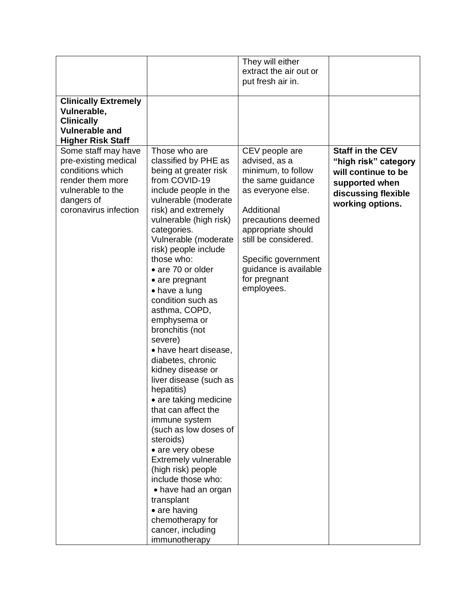| <b>Clinically Extremely</b><br>Vulnerable,<br><b>Clinically</b><br><b>Vulnerable and</b><br><b>Higher Risk Staff</b>                            |                                                                                                                                                                                                                                                                                                                                                                                                                                                                                                                                                                                                                                                                                                                                                                                                                                            | They will either<br>extract the air out or<br>put fresh air in.                                                                                                                                                                                                 |                                                                                                                                     |
|-------------------------------------------------------------------------------------------------------------------------------------------------|--------------------------------------------------------------------------------------------------------------------------------------------------------------------------------------------------------------------------------------------------------------------------------------------------------------------------------------------------------------------------------------------------------------------------------------------------------------------------------------------------------------------------------------------------------------------------------------------------------------------------------------------------------------------------------------------------------------------------------------------------------------------------------------------------------------------------------------------|-----------------------------------------------------------------------------------------------------------------------------------------------------------------------------------------------------------------------------------------------------------------|-------------------------------------------------------------------------------------------------------------------------------------|
| Some staff may have<br>pre-existing medical<br>conditions which<br>render them more<br>vulnerable to the<br>dangers of<br>coronavirus infection | Those who are<br>classified by PHE as<br>being at greater risk<br>from COVID-19<br>include people in the<br>vulnerable (moderate<br>risk) and extremely<br>vulnerable (high risk)<br>categories.<br>Vulnerable (moderate<br>risk) people include<br>those who:<br>• are 70 or older<br>• are pregnant<br>• have a lung<br>condition such as<br>asthma, COPD,<br>emphysema or<br>bronchitis (not<br>severe)<br>• have heart disease,<br>diabetes, chronic<br>kidney disease or<br>liver disease (such as<br>hepatitis)<br>• are taking medicine<br>that can affect the<br>immune system<br>(such as low doses of<br>steroids)<br>• are very obese<br><b>Extremely vulnerable</b><br>(high risk) people<br>include those who:<br>• have had an organ<br>transplant<br>• are having<br>chemotherapy for<br>cancer, including<br>immunotherapy | CEV people are<br>advised, as a<br>minimum, to follow<br>the same guidance<br>as everyone else.<br>Additional<br>precautions deemed<br>appropriate should<br>still be considered.<br>Specific government<br>guidance is available<br>for pregnant<br>employees. | <b>Staff in the CEV</b><br>"high risk" category<br>will continue to be<br>supported when<br>discussing flexible<br>working options. |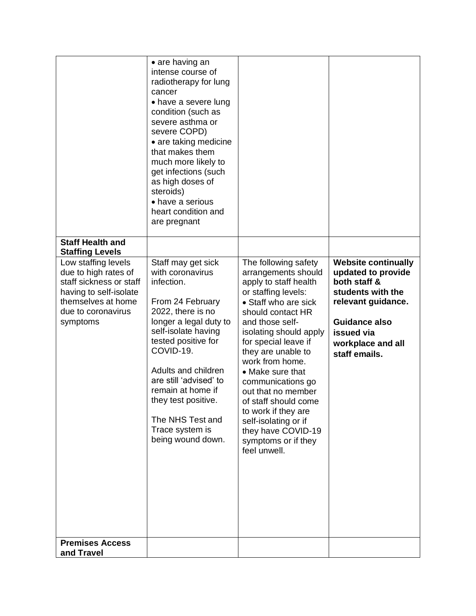|                                                                                                                                                                                    | $\bullet$ are having an<br>intense course of<br>radiotherapy for lung<br>cancer<br>• have a severe lung<br>condition (such as<br>severe asthma or<br>severe COPD)<br>• are taking medicine<br>that makes them<br>much more likely to<br>get infections (such<br>as high doses of<br>steroids)<br>• have a serious<br>heart condition and<br>are pregnant |                                                                                                                                                                                                                                                                                                                                                                                                                                                           |                                                                                                                                                                                         |
|------------------------------------------------------------------------------------------------------------------------------------------------------------------------------------|----------------------------------------------------------------------------------------------------------------------------------------------------------------------------------------------------------------------------------------------------------------------------------------------------------------------------------------------------------|-----------------------------------------------------------------------------------------------------------------------------------------------------------------------------------------------------------------------------------------------------------------------------------------------------------------------------------------------------------------------------------------------------------------------------------------------------------|-----------------------------------------------------------------------------------------------------------------------------------------------------------------------------------------|
| <b>Staff Health and</b>                                                                                                                                                            |                                                                                                                                                                                                                                                                                                                                                          |                                                                                                                                                                                                                                                                                                                                                                                                                                                           |                                                                                                                                                                                         |
| <b>Staffing Levels</b><br>Low staffing levels<br>due to high rates of<br>staff sickness or staff<br>having to self-isolate<br>themselves at home<br>due to coronavirus<br>symptoms | Staff may get sick<br>with coronavirus<br>infection.<br>From 24 February<br>2022, there is no<br>longer a legal duty to<br>self-isolate having<br>tested positive for<br>COVID-19.<br>Adults and children<br>are still 'advised' to<br>remain at home if<br>they test positive.<br>The NHS Test and<br>Trace system is<br>being wound down.              | The following safety<br>arrangements should<br>apply to staff health<br>or staffing levels:<br>• Staff who are sick<br>should contact HR<br>and those self-<br>isolating should apply<br>for special leave if<br>they are unable to<br>work from home.<br>• Make sure that<br>communications go<br>out that no member<br>of staff should come<br>to work if they are<br>self-isolating or if<br>they have COVID-19<br>symptoms or if they<br>feel unwell. | <b>Website continually</b><br>updated to provide<br>both staff &<br>students with the<br>relevant guidance.<br><b>Guidance also</b><br>issued via<br>workplace and all<br>staff emails. |
| <b>Premises Access</b><br>and Travel                                                                                                                                               |                                                                                                                                                                                                                                                                                                                                                          |                                                                                                                                                                                                                                                                                                                                                                                                                                                           |                                                                                                                                                                                         |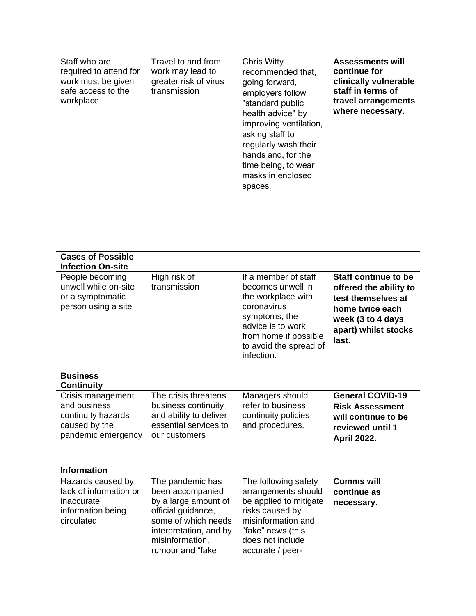| Staff who are<br>required to attend for<br>work must be given<br>safe access to the<br>workplace | Travel to and from<br>work may lead to<br>greater risk of virus<br>transmission                                                                                            | <b>Chris Witty</b><br>recommended that,<br>going forward,<br>employers follow<br>"standard public<br>health advice" by<br>improving ventilation,<br>asking staff to<br>regularly wash their<br>hands and, for the<br>time being, to wear<br>masks in enclosed<br>spaces. | <b>Assessments will</b><br>continue for<br>clinically vulnerable<br>staff in terms of<br>travel arrangements<br>where necessary.                     |
|--------------------------------------------------------------------------------------------------|----------------------------------------------------------------------------------------------------------------------------------------------------------------------------|--------------------------------------------------------------------------------------------------------------------------------------------------------------------------------------------------------------------------------------------------------------------------|------------------------------------------------------------------------------------------------------------------------------------------------------|
| <b>Cases of Possible</b><br><b>Infection On-site</b>                                             |                                                                                                                                                                            |                                                                                                                                                                                                                                                                          |                                                                                                                                                      |
| People becoming<br>unwell while on-site<br>or a symptomatic<br>person using a site               | High risk of<br>transmission                                                                                                                                               | If a member of staff<br>becomes unwell in<br>the workplace with<br>coronavirus<br>symptoms, the<br>advice is to work<br>from home if possible<br>to avoid the spread of<br>infection.                                                                                    | <b>Staff continue to be</b><br>offered the ability to<br>test themselves at<br>home twice each<br>week (3 to 4 days<br>apart) whilst stocks<br>last. |
| <b>Business</b><br><b>Continuity</b>                                                             |                                                                                                                                                                            |                                                                                                                                                                                                                                                                          |                                                                                                                                                      |
| Crisis management<br>and business<br>continuity hazards<br>caused by the<br>pandemic emergency   | The crisis threatens<br>business continuity<br>and ability to deliver<br>essential services to<br>our customers                                                            | Managers should<br>refer to business<br>continuity policies<br>and procedures.                                                                                                                                                                                           | <b>General COVID-19</b><br><b>Risk Assessment</b><br>will continue to be<br>reviewed until 1<br><b>April 2022.</b>                                   |
| <b>Information</b>                                                                               |                                                                                                                                                                            |                                                                                                                                                                                                                                                                          |                                                                                                                                                      |
| Hazards caused by<br>lack of information or<br>inaccurate<br>information being<br>circulated     | The pandemic has<br>been accompanied<br>by a large amount of<br>official guidance,<br>some of which needs<br>interpretation, and by<br>misinformation,<br>rumour and "fake | The following safety<br>arrangements should<br>be applied to mitigate<br>risks caused by<br>misinformation and<br>"fake" news (this<br>does not include<br>accurate / peer-                                                                                              | <b>Comms will</b><br>continue as<br>necessary.                                                                                                       |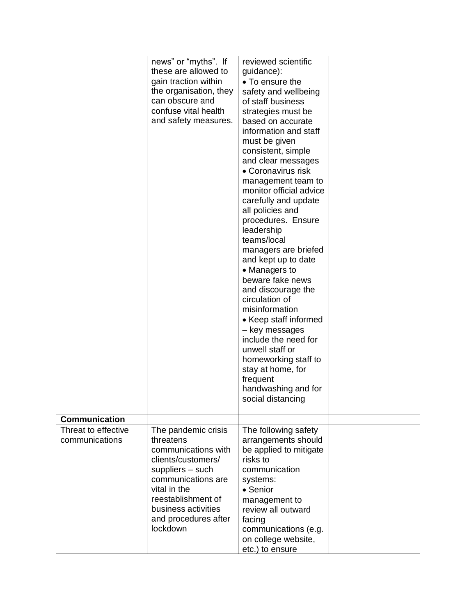| news" or "myths". If<br>reviewed scientific                        |  |
|--------------------------------------------------------------------|--|
| these are allowed to<br>guidance):                                 |  |
| gain traction within<br>• To ensure the                            |  |
| the organisation, they<br>safety and wellbeing                     |  |
| can obscure and<br>of staff business                               |  |
| confuse vital health<br>strategies must be                         |  |
| and safety measures.<br>based on accurate                          |  |
| information and staff                                              |  |
| must be given                                                      |  |
| consistent, simple                                                 |  |
| and clear messages                                                 |  |
| • Coronavirus risk                                                 |  |
| management team to                                                 |  |
| monitor official advice                                            |  |
| carefully and update                                               |  |
| all policies and                                                   |  |
| procedures. Ensure                                                 |  |
| leadership                                                         |  |
| teams/local                                                        |  |
| managers are briefed                                               |  |
| and kept up to date                                                |  |
| • Managers to                                                      |  |
| beware fake news                                                   |  |
| and discourage the                                                 |  |
| circulation of                                                     |  |
| misinformation                                                     |  |
| • Keep staff informed                                              |  |
| - key messages                                                     |  |
| include the need for                                               |  |
| unwell staff or                                                    |  |
| homeworking staff to                                               |  |
| stay at home, for                                                  |  |
| frequent                                                           |  |
| handwashing and for                                                |  |
| social distancing                                                  |  |
|                                                                    |  |
| Communication                                                      |  |
| Threat to effective<br>The pandemic crisis<br>The following safety |  |
| communications<br>arrangements should<br>threatens                 |  |
| communications with<br>be applied to mitigate                      |  |
| clients/customers/<br>risks to                                     |  |
| suppliers - such<br>communication                                  |  |
|                                                                    |  |
|                                                                    |  |
| communications are<br>systems:                                     |  |
| vital in the<br>• Senior                                           |  |
| reestablishment of<br>management to                                |  |
| business activities<br>review all outward                          |  |
| and procedures after<br>facing                                     |  |
| lockdown<br>communications (e.g.<br>on college website,            |  |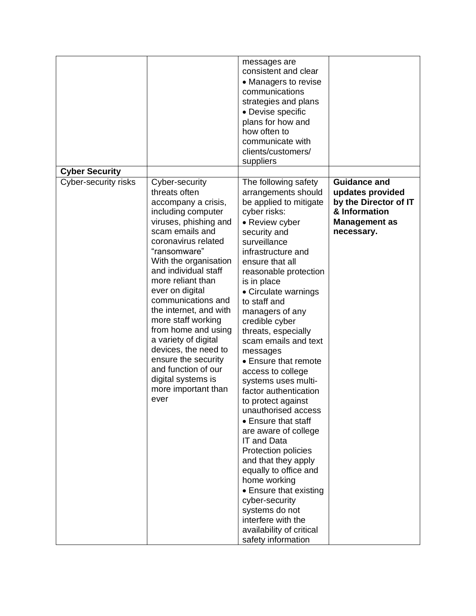|                       |                                                                                                                                                                                                                                                                                                                                                                                                                                                                                                          | messages are<br>consistent and clear<br>• Managers to revise<br>communications<br>strategies and plans<br>• Devise specific<br>plans for how and<br>how often to<br>communicate with<br>clients/customers/<br>suppliers                                                                                                                                                                                                                                                                                                                                                                                                                                                                                                                                                                                      |                                                                                                                         |
|-----------------------|----------------------------------------------------------------------------------------------------------------------------------------------------------------------------------------------------------------------------------------------------------------------------------------------------------------------------------------------------------------------------------------------------------------------------------------------------------------------------------------------------------|--------------------------------------------------------------------------------------------------------------------------------------------------------------------------------------------------------------------------------------------------------------------------------------------------------------------------------------------------------------------------------------------------------------------------------------------------------------------------------------------------------------------------------------------------------------------------------------------------------------------------------------------------------------------------------------------------------------------------------------------------------------------------------------------------------------|-------------------------------------------------------------------------------------------------------------------------|
| <b>Cyber Security</b> |                                                                                                                                                                                                                                                                                                                                                                                                                                                                                                          |                                                                                                                                                                                                                                                                                                                                                                                                                                                                                                                                                                                                                                                                                                                                                                                                              |                                                                                                                         |
| Cyber-security risks  | Cyber-security<br>threats often<br>accompany a crisis,<br>including computer<br>viruses, phishing and<br>scam emails and<br>coronavirus related<br>"ransomware"<br>With the organisation<br>and individual staff<br>more reliant than<br>ever on digital<br>communications and<br>the internet, and with<br>more staff working<br>from home and using<br>a variety of digital<br>devices, the need to<br>ensure the security<br>and function of our<br>digital systems is<br>more important than<br>ever | The following safety<br>arrangements should<br>be applied to mitigate<br>cyber risks:<br>• Review cyber<br>security and<br>surveillance<br>infrastructure and<br>ensure that all<br>reasonable protection<br>is in place<br>• Circulate warnings<br>to staff and<br>managers of any<br>credible cyber<br>threats, especially<br>scam emails and text<br>messages<br>• Ensure that remote<br>access to college<br>systems uses multi-<br>factor authentication<br>to protect against<br>unauthorised access<br>• Ensure that staff<br>are aware of college<br><b>IT and Data</b><br>Protection policies<br>and that they apply<br>equally to office and<br>home working<br>• Ensure that existing<br>cyber-security<br>systems do not<br>interfere with the<br>availability of critical<br>safety information | <b>Guidance and</b><br>updates provided<br>by the Director of IT<br>& Information<br><b>Management as</b><br>necessary. |